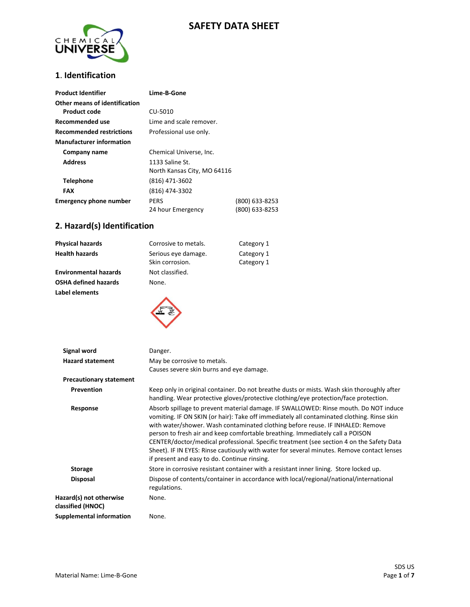# **SAFETY DATA SHEET**



### **1**. **Identification**

| <b>Product Identifier</b>                            | Lime-B-Gone                                    |                                  |
|------------------------------------------------------|------------------------------------------------|----------------------------------|
| Other means of identification<br><b>Product code</b> | CU-5010                                        |                                  |
| Recommended use                                      | Lime and scale remover.                        |                                  |
| <b>Recommended restrictions</b>                      | Professional use only.                         |                                  |
| <b>Manufacturer information</b>                      |                                                |                                  |
| Company name                                         | Chemical Universe, Inc.                        |                                  |
| <b>Address</b>                                       | 1133 Saline St.<br>North Kansas City, MO 64116 |                                  |
| Telephone                                            | (816) 471-3602                                 |                                  |
| <b>FAX</b>                                           | (816) 474-3302                                 |                                  |
| <b>Emergency phone number</b>                        | <b>PERS</b><br>24 hour Emergency               | (800) 633-8253<br>(800) 633-8253 |

# **2. Hazard(s) Identification**

| Physical hazards             | Corrosive to metals.                   | Category 1               |
|------------------------------|----------------------------------------|--------------------------|
| Health hazards               | Serious eye damage.<br>Skin corrosion. | Category 1<br>Category 1 |
| <b>Environmental hazards</b> | Not classified.                        |                          |
| OSHA defined hazards         | None.                                  |                          |
| Label elements               |                                        |                          |



| Signal word<br><b>Hazard statement</b>       | Danger.<br>May be corrosive to metals.<br>Causes severe skin burns and eye damage.                                                                                                                                                                                                                                                                                                                                                                                                                                                                                                              |
|----------------------------------------------|-------------------------------------------------------------------------------------------------------------------------------------------------------------------------------------------------------------------------------------------------------------------------------------------------------------------------------------------------------------------------------------------------------------------------------------------------------------------------------------------------------------------------------------------------------------------------------------------------|
| <b>Precautionary statement</b>               |                                                                                                                                                                                                                                                                                                                                                                                                                                                                                                                                                                                                 |
| <b>Prevention</b>                            | Keep only in original container. Do not breathe dusts or mists. Wash skin thoroughly after<br>handling. Wear protective gloves/protective clothing/eye protection/face protection.                                                                                                                                                                                                                                                                                                                                                                                                              |
| Response                                     | Absorb spillage to prevent material damage. IF SWALLOWED: Rinse mouth. Do NOT induce<br>vomiting. IF ON SKIN (or hair): Take off immediately all contaminated clothing. Rinse skin<br>with water/shower. Wash contaminated clothing before reuse. IF INHALED: Remove<br>person to fresh air and keep comfortable breathing. Immediately call a POISON<br>CENTER/doctor/medical professional. Specific treatment (see section 4 on the Safety Data<br>Sheet). IF IN EYES: Rinse cautiously with water for several minutes. Remove contact lenses<br>if present and easy to do. Continue rinsing. |
| <b>Storage</b>                               | Store in corrosive resistant container with a resistant inner lining. Store locked up.                                                                                                                                                                                                                                                                                                                                                                                                                                                                                                          |
| <b>Disposal</b>                              | Dispose of contents/container in accordance with local/regional/national/international<br>regulations.                                                                                                                                                                                                                                                                                                                                                                                                                                                                                          |
| Hazard(s) not otherwise<br>classified (HNOC) | None.                                                                                                                                                                                                                                                                                                                                                                                                                                                                                                                                                                                           |
| <b>Supplemental information</b>              | None.                                                                                                                                                                                                                                                                                                                                                                                                                                                                                                                                                                                           |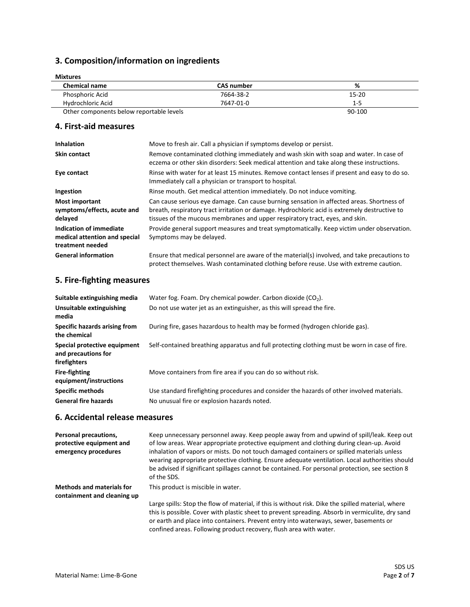# **3. Composition/information on ingredients**

| <b>Mixtures</b>                          |                   |         |  |
|------------------------------------------|-------------------|---------|--|
| <b>Chemical name</b>                     | <b>CAS number</b> | %       |  |
| Phosphoric Acid                          | 7664-38-2         | 15-20   |  |
| Hydrochloric Acid                        | 7647-01-0         | $1 - 5$ |  |
| Other components below reportable levels |                   | 90-100  |  |

#### **4. First-aid measures**

| <b>Inhalation</b>                                                            | Move to fresh air. Call a physician if symptoms develop or persist.                                                                                                                                                                                                        |
|------------------------------------------------------------------------------|----------------------------------------------------------------------------------------------------------------------------------------------------------------------------------------------------------------------------------------------------------------------------|
| <b>Skin contact</b>                                                          | Remove contaminated clothing immediately and wash skin with soap and water. In case of<br>eczema or other skin disorders: Seek medical attention and take along these instructions.                                                                                        |
| Eye contact                                                                  | Rinse with water for at least 15 minutes. Remove contact lenses if present and easy to do so.<br>Immediately call a physician or transport to hospital.                                                                                                                    |
| Ingestion                                                                    | Rinse mouth. Get medical attention immediately. Do not induce vomiting.                                                                                                                                                                                                    |
| <b>Most important</b><br>symptoms/effects, acute and<br>delayed              | Can cause serious eye damage. Can cause burning sensation in affected areas. Shortness of<br>breath, respiratory tract irritation or damage. Hydrochloric acid is extremely destructive to<br>tissues of the mucous membranes and upper respiratory tract, eyes, and skin. |
| Indication of immediate<br>medical attention and special<br>treatment needed | Provide general support measures and treat symptomatically. Keep victim under observation.<br>Symptoms may be delayed.                                                                                                                                                     |
| <b>General information</b>                                                   | Ensure that medical personnel are aware of the material(s) involved, and take precautions to<br>protect themselves. Wash contaminated clothing before reuse. Use with extreme caution.                                                                                     |

### **5. Fire-fighting measures**

| Suitable extinguishing media                                        | Water fog. Foam. Dry chemical powder. Carbon dioxide $(CO2)$ .                                |
|---------------------------------------------------------------------|-----------------------------------------------------------------------------------------------|
| Unsuitable extinguishing<br>media                                   | Do not use water jet as an extinguisher, as this will spread the fire.                        |
| Specific hazards arising from<br>the chemical                       | During fire, gases hazardous to health may be formed (hydrogen chloride gas).                 |
| Special protective equipment<br>and precautions for<br>firefighters | Self-contained breathing apparatus and full protecting clothing must be worn in case of fire. |
| <b>Fire-fighting</b><br>equipment/instructions                      | Move containers from fire area if you can do so without risk.                                 |
| <b>Specific methods</b>                                             | Use standard firefighting procedures and consider the hazards of other involved materials.    |
| <b>General fire hazards</b>                                         | No unusual fire or explosion hazards noted.                                                   |

### **6. Accidental release measures**

| Personal precautions,<br>protective equipment and<br>emergency procedures | Keep unnecessary personnel away. Keep people away from and upwind of spill/leak. Keep out<br>of low areas. Wear appropriate protective equipment and clothing during clean-up. Avoid<br>inhalation of vapors or mists. Do not touch damaged containers or spilled materials unless<br>wearing appropriate protective clothing. Ensure adequate ventilation. Local authorities should<br>be advised if significant spillages cannot be contained. For personal protection, see section 8<br>of the SDS. |
|---------------------------------------------------------------------------|--------------------------------------------------------------------------------------------------------------------------------------------------------------------------------------------------------------------------------------------------------------------------------------------------------------------------------------------------------------------------------------------------------------------------------------------------------------------------------------------------------|
| <b>Methods and materials for</b><br>containment and cleaning up           | This product is miscible in water.                                                                                                                                                                                                                                                                                                                                                                                                                                                                     |
|                                                                           | Large spills: Stop the flow of material, if this is without risk. Dike the spilled material, where<br>this is possible. Cover with plastic sheet to prevent spreading. Absorb in vermiculite, dry sand<br>or earth and place into containers. Prevent entry into waterways, sewer, basements or<br>confined areas. Following product recovery, flush area with water.                                                                                                                                  |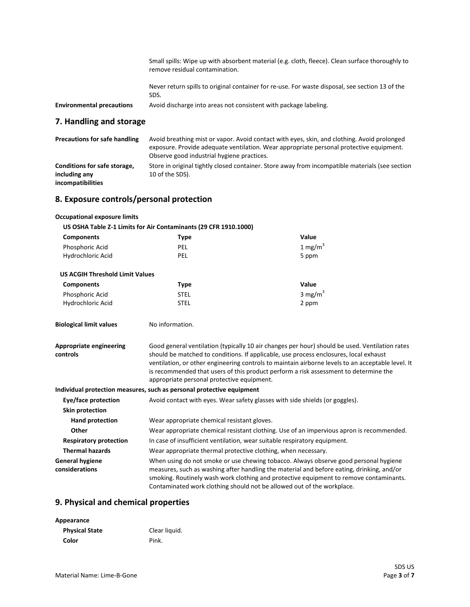Small spills: Wipe up with absorbent material (e.g. cloth, fleece). Clean surface thoroughly to remove residual contamination.

Never return spills to original container for re-use. For waste disposal, see section 13 of the SDS.

**Environmental precautions** Avoid discharge into areas not consistent with package labeling.

#### **7. Handling and storage**

| <b>Precautions for safe handling</b>          | Avoid breathing mist or vapor. Avoid contact with eyes, skin, and clothing. Avoid prolonged<br>exposure. Provide adequate ventilation. Wear appropriate personal protective equipment.<br>Observe good industrial hygiene practices. |
|-----------------------------------------------|--------------------------------------------------------------------------------------------------------------------------------------------------------------------------------------------------------------------------------------|
| Conditions for safe storage,<br>including any | Store in original tightly closed container. Store away from incompatible materials (see section<br>10 of the SDS).                                                                                                                   |
| incompatibilities                             |                                                                                                                                                                                                                                      |

#### **8. Exposure controls/personal protection**

| <b>Occupational exposure limits</b>                              |                                                                                                                                                                                                                                                                                                                                                                                                                                    |                                                                                          |  |
|------------------------------------------------------------------|------------------------------------------------------------------------------------------------------------------------------------------------------------------------------------------------------------------------------------------------------------------------------------------------------------------------------------------------------------------------------------------------------------------------------------|------------------------------------------------------------------------------------------|--|
| US OSHA Table Z-1 Limits for Air Contaminants (29 CFR 1910.1000) |                                                                                                                                                                                                                                                                                                                                                                                                                                    |                                                                                          |  |
| <b>Components</b>                                                | <b>Type</b>                                                                                                                                                                                                                                                                                                                                                                                                                        | Value                                                                                    |  |
| Phosphoric Acid                                                  | <b>PEL</b>                                                                                                                                                                                                                                                                                                                                                                                                                         | 1 mg/m $3$                                                                               |  |
| Hydrochloric Acid                                                | <b>PEL</b>                                                                                                                                                                                                                                                                                                                                                                                                                         | 5 ppm                                                                                    |  |
| <b>US ACGIH Threshold Limit Values</b>                           |                                                                                                                                                                                                                                                                                                                                                                                                                                    |                                                                                          |  |
| <b>Components</b>                                                | <b>Type</b>                                                                                                                                                                                                                                                                                                                                                                                                                        | Value                                                                                    |  |
| Phosphoric Acid                                                  | <b>STEL</b>                                                                                                                                                                                                                                                                                                                                                                                                                        | 3 mg/m $3$                                                                               |  |
| Hydrochloric Acid                                                | <b>STEL</b>                                                                                                                                                                                                                                                                                                                                                                                                                        | 2 ppm                                                                                    |  |
| <b>Biological limit values</b>                                   | No information.                                                                                                                                                                                                                                                                                                                                                                                                                    |                                                                                          |  |
| <b>Appropriate engineering</b><br>controls                       | Good general ventilation (typically 10 air changes per hour) should be used. Ventilation rates<br>should be matched to conditions. If applicable, use process enclosures, local exhaust<br>ventilation, or other engineering controls to maintain airborne levels to an acceptable level. It<br>is recommended that users of this product perform a risk assessment to determine the<br>appropriate personal protective equipment. |                                                                                          |  |
|                                                                  | Individual protection measures, such as personal protective equipment                                                                                                                                                                                                                                                                                                                                                              |                                                                                          |  |
| Eye/face protection                                              |                                                                                                                                                                                                                                                                                                                                                                                                                                    | Avoid contact with eyes. Wear safety glasses with side shields (or goggles).             |  |
| <b>Skin protection</b>                                           |                                                                                                                                                                                                                                                                                                                                                                                                                                    |                                                                                          |  |
| <b>Hand protection</b>                                           | Wear appropriate chemical resistant gloves.                                                                                                                                                                                                                                                                                                                                                                                        |                                                                                          |  |
| Other                                                            |                                                                                                                                                                                                                                                                                                                                                                                                                                    | Wear appropriate chemical resistant clothing. Use of an impervious apron is recommended. |  |
| <b>Respiratory protection</b>                                    |                                                                                                                                                                                                                                                                                                                                                                                                                                    | In case of insufficient ventilation, wear suitable respiratory equipment.                |  |
| <b>Thermal hazards</b>                                           |                                                                                                                                                                                                                                                                                                                                                                                                                                    | Wear appropriate thermal protective clothing, when necessary.                            |  |
| <b>General hygiene</b><br>considerations                         | When using do not smoke or use chewing tobacco. Always observe good personal hygiene<br>measures, such as washing after handling the material and before eating, drinking, and/or<br>smoking. Routinely wash work clothing and protective equipment to remove contaminants.<br>Contaminated work clothing should not be allowed out of the workplace.                                                                              |                                                                                          |  |

#### **9. Physical and chemical properties**

| Appearance            |               |
|-----------------------|---------------|
| <b>Physical State</b> | Clear liquid. |
| Color                 | Pink.         |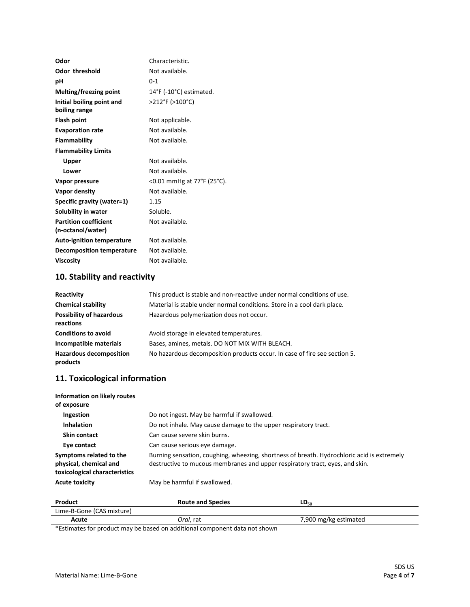| Odor                             | Characteristic.                              |
|----------------------------------|----------------------------------------------|
| <b>Odor threshold</b>            | Not available.                               |
| рH                               | $0 - 1$                                      |
| <b>Melting/freezing point</b>    | $14^{\circ}$ F (-10 $^{\circ}$ C) estimated. |
| Initial boiling point and        | >212°F (>100°C)                              |
| boiling range                    |                                              |
| <b>Flash point</b>               | Not applicable.                              |
| <b>Evaporation rate</b>          | Not available.                               |
| <b>Flammability</b>              | Not available.                               |
| <b>Flammability Limits</b>       |                                              |
| Upper                            | Not available.                               |
| Lower                            | Not available.                               |
| Vapor pressure                   | <0.01 mmHg at 77°F (25°C).                   |
| Vapor density                    | Not available.                               |
| Specific gravity (water=1)       | 1.15                                         |
| Solubility in water              | Soluble.                                     |
| <b>Partition coefficient</b>     | Not available.                               |
| (n-octanol/water)                |                                              |
| <b>Auto-ignition temperature</b> | Not available.                               |
| <b>Decomposition temperature</b> | Not available.                               |
| <b>Viscosity</b>                 | Not available.                               |

# **10. Stability and reactivity**

| Reactivity                                   | This product is stable and non-reactive under normal conditions of use.   |
|----------------------------------------------|---------------------------------------------------------------------------|
| <b>Chemical stability</b>                    | Material is stable under normal conditions. Store in a cool dark place.   |
| <b>Possibility of hazardous</b><br>reactions | Hazardous polymerization does not occur.                                  |
| <b>Conditions to avoid</b>                   | Avoid storage in elevated temperatures.                                   |
| Incompatible materials                       | Bases, amines, metals. DO NOT MIX WITH BLEACH.                            |
| <b>Hazardous decomposition</b><br>products   | No hazardous decomposition products occur. In case of fire see section 5. |

### **11. Toxicological information**

| Information on likely routes<br>of exposure                                        |                                                                                                                                                                            |
|------------------------------------------------------------------------------------|----------------------------------------------------------------------------------------------------------------------------------------------------------------------------|
| Ingestion                                                                          | Do not ingest. May be harmful if swallowed.                                                                                                                                |
| <b>Inhalation</b>                                                                  | Do not inhale. May cause damage to the upper respiratory tract.                                                                                                            |
| Skin contact                                                                       | Can cause severe skin burns.                                                                                                                                               |
| Eye contact                                                                        | Can cause serious eye damage.                                                                                                                                              |
| Symptoms related to the<br>physical, chemical and<br>toxicological characteristics | Burning sensation, coughing, wheezing, shortness of breath. Hydrochloric acid is extremely<br>destructive to mucous membranes and upper respiratory tract, eyes, and skin. |
| <b>Acute toxicity</b>                                                              | May be harmful if swallowed.                                                                                                                                               |

| Product                                                                                                             | <b>Route and Species</b> | LD50                  |
|---------------------------------------------------------------------------------------------------------------------|--------------------------|-----------------------|
| Lime-B-Gone (CAS mixture)                                                                                           |                          |                       |
| Acute                                                                                                               | Oral. rat                | 7,900 mg/kg estimated |
| المستنطر فالمامين وبقوام بقمام والمصادر والمستحلفات والمستحدث والمتحامل والتناسي والمستحدث والمتقادم والمستقد الأفا |                          |                       |

\*Estimates for product may be based on additional component data not shown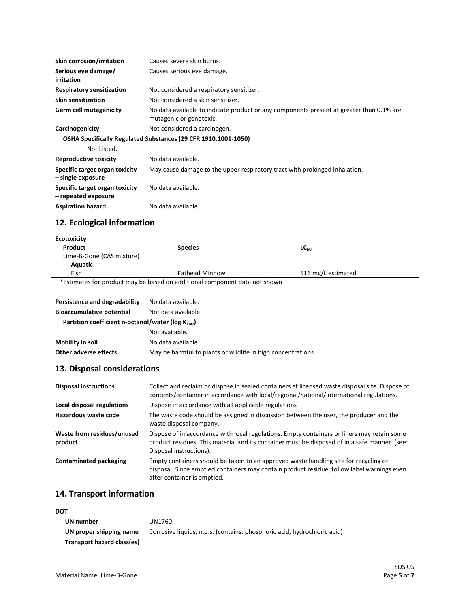| Skin corrosion/irritation                             | Causes severe skin burns.                                                                                           |
|-------------------------------------------------------|---------------------------------------------------------------------------------------------------------------------|
| Serious eye damage/<br>irritation                     | Causes serious eye damage.                                                                                          |
| <b>Respiratory sensitization</b>                      | Not considered a respiratory sensitizer.                                                                            |
| <b>Skin sensitization</b>                             | Not considered a skin sensitizer.                                                                                   |
| Germ cell mutagenicity                                | No data available to indicate product or any components present at greater than 0.1% are<br>mutagenic or genotoxic. |
| Carcinogenicity                                       | Not considered a carcinogen.                                                                                        |
|                                                       | OSHA Specifically Regulated Substances (29 CFR 1910.1001-1050)                                                      |
| Not Listed.                                           |                                                                                                                     |
| <b>Reproductive toxicity</b>                          | No data available.                                                                                                  |
| Specific target organ toxicity<br>- single exposure   | May cause damage to the upper respiratory tract with prolonged inhalation.                                          |
| Specific target organ toxicity<br>- repeated exposure | No data available.                                                                                                  |
| <b>Aspiration hazard</b>                              | No data available.                                                                                                  |

### **12. Ecological information**

| <b>Ecotoxicity</b>        |                                                                            |                    |
|---------------------------|----------------------------------------------------------------------------|--------------------|
| Product                   | <b>Species</b>                                                             | $LC_{50}$          |
| Lime-B-Gone (CAS mixture) |                                                                            |                    |
| Aquatic                   |                                                                            |                    |
| Fish                      | <b>Fathead Minnow</b>                                                      | 516 mg/L estimated |
|                           | *Estimates for product may be based on additional component data not shown |                    |

| Persistence and degradability<br><b>Bioaccumulative potential</b><br>Partition coefficient n-octanol/water ( $log K_{\text{ow}}$ ) | No data available.<br>Not data available                     |
|------------------------------------------------------------------------------------------------------------------------------------|--------------------------------------------------------------|
|                                                                                                                                    | Not available.                                               |
| Mobility in soil                                                                                                                   | No data available.                                           |
| Other adverse effects                                                                                                              | May be harmful to plants or wildlife in high concentrations. |

# **13. Disposal considerations**

| <b>Disposal instructions</b>          | Collect and reclaim or dispose in sealed containers at licensed waste disposal site. Dispose of<br>contents/container in accordance with local/regional/national/international regulations.                             |
|---------------------------------------|-------------------------------------------------------------------------------------------------------------------------------------------------------------------------------------------------------------------------|
| Local disposal regulations            | Dispose in accordance with all applicable regulations                                                                                                                                                                   |
| Hazardous waste code                  | The waste code should be assigned in discussion between the user, the producer and the<br>waste disposal company.                                                                                                       |
| Waste from residues/unused<br>product | Dispose of in accordance with local regulations. Empty containers or liners may retain some<br>product residues. This material and its container must be disposed of in a safe manner. (see:<br>Disposal instructions). |
| <b>Contaminated packaging</b>         | Empty containers should be taken to an approved waste handling site for recycling or<br>disposal. Since emptied containers may contain product residue, follow label warnings even<br>after container is emptied.       |

# **14. Transport information**

#### **DOT**

| UN number                  | UN1760                                                                   |
|----------------------------|--------------------------------------------------------------------------|
| UN proper shipping name    | Corrosive liquids, n.o.s. (contains: phosphoric acid, hydrochloric acid) |
| Transport hazard class(es) |                                                                          |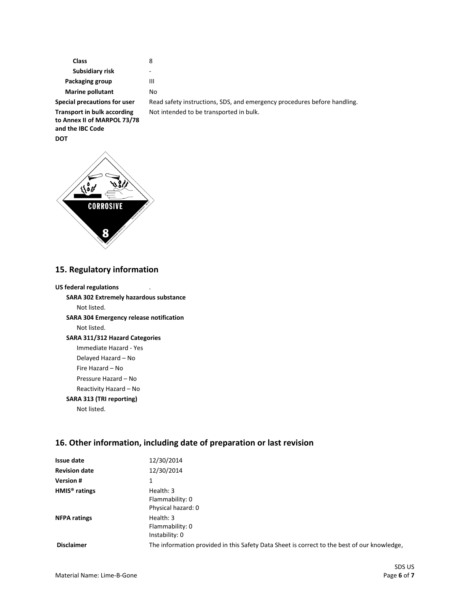**Class** 8  **Subsidiary risk** - **Packaging group III Marine pollutant** No

**Transport in bulk according to Annex II of MARPOL 73/78 and the IBC Code DOT**

Special precautions for user Read safety instructions, SDS, and emergency procedures before handling. Not intended to be transported in bulk.



#### **15. Regulatory information**

| <b>US federal regulations</b>                  |
|------------------------------------------------|
| <b>SARA 302 Extremely hazardous substance</b>  |
| Not listed.                                    |
| <b>SARA 304 Emergency release notification</b> |
| Not listed.                                    |
| <b>SARA 311/312 Hazard Categories</b>          |
| Immediate Hazard - Yes                         |
| Delayed Hazard – No                            |
| Fire Hazard – No                               |
| Pressure Hazard – No                           |
| Reactivity Hazard – No                         |
| SARA 313 (TRI reporting)                       |
| Not listed.                                    |

#### **16. Other information, including date of preparation or last revision**

| Issue date                | 12/30/2014                                                                                  |
|---------------------------|---------------------------------------------------------------------------------------------|
| <b>Revision date</b>      | 12/30/2014                                                                                  |
| <b>Version#</b>           | 1                                                                                           |
| HMIS <sup>®</sup> ratings | Health: 3<br>Flammability: 0<br>Physical hazard: 0                                          |
| <b>NFPA ratings</b>       | Health: 3<br>Flammability: 0<br>Instability: 0                                              |
| <b>Disclaimer</b>         | The information provided in this Safety Data Sheet is correct to the best of our knowledge, |
|                           |                                                                                             |